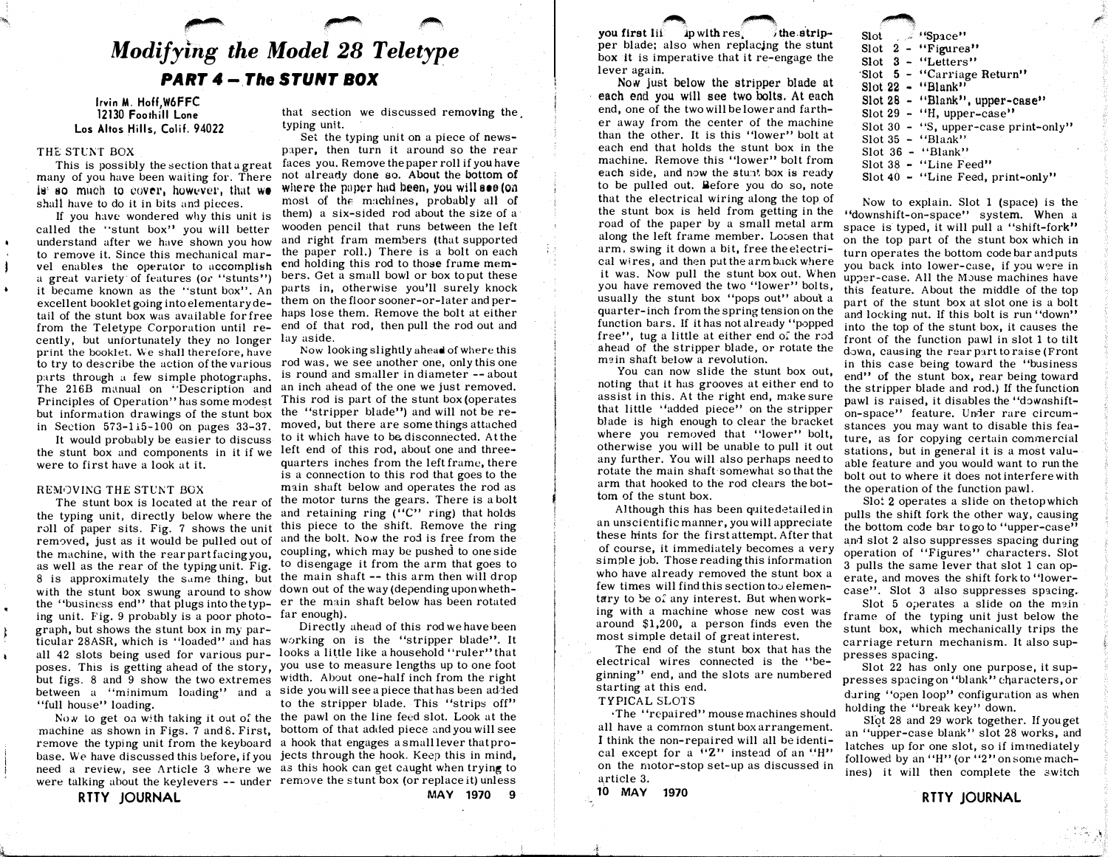# Modifying the Model 28 Teletype PART 4 - The STUNT BOX

 $\overline{\phantom{a}}$   $\overline{\phantom{a}}$   $\overline{\phantom{a}}$ 

Irvin M. Hoff,W6FFC 12130 Foothill Lone Los Altos Hills, Colif. 94022

## THE STUNT BOX

 $\mathbf{I}$ 

This is possibly the section that u great many of you have been waiting for. There 1<sup>9</sup> so much to cover, however, that we shalt have to do it in bits and pieces.

If you have wondered why this unit is called the "stunt box" you will better understand after we have shown you how to remove it. Since this mechanical marvel enables the operator to accomplish a great variety of features (or "stunts") it became known as the "stunt box". An excellent booklet going into elementary detail of the stunt box was available for free from the Teletype Corporation until recently, but unfortunately they no longer print the booklet. We shall therefore, have to try to describe the action of the various parts through a few simple photographs. The 216B manual on "Description and Principles of Operation" has some modest but information drawings of the stunt box in Section 573-115-100 on pages 33-37.

It would probably be easier to discuss the stunt box and components in it if we were to first have a look at it.

# REMOVING THE STUNT BOX

The stunt box is located at the rear of the typing unit, directly below where the roll of paper sits. Fig. 7 shows the unit this piece to the shift. Remove the ring removed, just as it would be pulled out of the machine, with the rear part facing you, as well as the rear of the typipg unit. Fig. 8 is approximately the same thing, but with the stunt box swung around to show the "business end" that plugs into the typing unit. Fig. 9 probably is a poor photograph, but shows the stunt box in my particular 28ASR, which is "loaded" and has poses. This is getting ahead of the story, but figs. 8 and 9 show the two extremes between a "minimum loading" and a side you will see a piece that has been added "full house" loading.

machine as shown in Figs. 7 and 8. First, bottom of that added piece and you will see remove the typing unit from the keyboard a hook that engages a small lever that probase. We have discussed this before, if you jects through the hook. Keep this in mind, need a review, see Article 3 where we as this hook can get caught when trying to were talking about the keylevers -- under remove the stunt box (or replace it) unless

RTTY JOURNAL

that section we discussed removing the, typing unit.

Set the typing unit on a piece of newspaper, then turn it around so the rear faces you. Remove the paper roll if you have not already done so. About the bottom of where the paper had been, you will see (on most of the machines, probably all of them) a six-sided rod about the size of a wooden pencil that runs between the left and right fram members (that supported the paper roll.) There is a bolt on each end holding this rod to those frame members. Get a small bowl or box to put these parts in, otherwise you'll surely knock them on the floor sooner-or-later and perhaps lose them. Remove the bolt at either end of that rod, then pull the rod out and lay aside.

Now looking slightly ahead of where this rod was, we see another one, only this one is round and smaller in diameter -- about an inch ahead of the one we just removed. This rod is part of the stunt box (operates the "stripper blade") and will not be removed, but there are some things attached to it which have to be disconnected. At the left end of this rod, about one and threequarters inches from the left frame, there is a connection to this rod that goes to the main shaft below and operates the rod as the motor turns the gears. There is a bolt and retaining ring  $('C'')$  ring) that holds and the bolt. Now the rod is free from the coupling, which may be pushed to one side to disengage it from the arm that goes to the main shaft -- this arm then will drop down out of the way (depending upon whether the main shaft below has been rotated far enough).

all 42 slots being used for various pur- looks a little like a household "ruler" that Directly ahead of this rod we have been working on is the "stripper blade". It you use to measure lengths up to one foot width. About one-half inch from the right

Now to get on with taking it out of the the pawl on the line feed slot. Look at the to the stripper blade. This "strips off"

MAY 1970 9

you first life. ap with res.  $i$  the stripper blade; also when replacjng the stunt box it is imperative that it re-engage the lever again.

 $\bullet$   $\bullet$ 

Now just below the stripper blade at each end you will see two bolts. At each end, one of the two will be lower and farther away from the center of the machine than the other. It is this "lower" bolt at each end that holds the stunt box in the machine. Remove this "lower" bolt from each side, and now the stunt box is ready to be pulled out. Before you do so, note that the electrical wiring along the top of the stunt box is held from getting in the road of the paper by a small metal arm along the left frame member. Loosen that arm, swing it down a bit, free the electrical wires, and then put the arm back where it was. Now pull the stunt box out. When you have removed the two "lower" bolts, usually the stunt box "pops out" about a quarter-inch from the spring tension on the function bars. If it has not already "popped free", tug a little at either end oi the rod ahead of the stripper blade, or rotate the main shaft below a revolution.

You can now slide the stunt box out, noting that It has grooves at either end to assist in this. At the right end, make sure that little ''added piece" on the stripper blade is high enough to clear the bracket where you removed that "lower" bolt. otherwise you will be unable to pull it out any further. You will also perhaps need to rotate the main shaft· somewhat so that the arm that hooked to the rod clears the bottom of the stunt box.

Although this has been quitedetailed in an unscientific manner, you will appreciate these hints for the first attempt. After that of course, it immediately becomes a very simple job. Those reading this information who have already removed the stunt box a few times will find this section to  $o$  elementary to be of any interest. But when working with a machine whose new cost was around \$1,200, a person finds even the most simple detail of great interest.

The end of the stunt box that has the electrical wires connected is the "beginning" end, and the slots are numbered starting at this end.

# TYPICAL SLOTS

• The ''repaired'' mouse machines should all have a common stunt box arrangement. I think the non-repaired will all be identical except for a  $(2)$  instead of an  $(H)$ on the motor-stop set-up as discussed in article 3.

10 MAY 1970

 $\mathcal{A}$ 

|  |  | Slot Space"                          |
|--|--|--------------------------------------|
|  |  | Slot $2 - "Figures"$                 |
|  |  | Slot $3 -$ "Letters"                 |
|  |  | 'Slot 5 - "Carriage Return"          |
|  |  | $Slot 22 - 'Blank'$                  |
|  |  | Slot 28 - "Blank", upper-case"       |
|  |  | Slot $29 - 'H$ , upper-case"         |
|  |  | Slot 30 - "S, upper-case print-only" |
|  |  | Slot $35 -$ "Blank"                  |
|  |  | Slot $36 -$ "Blank"                  |
|  |  | Slot 38 - "Line Feed"                |
|  |  |                                      |

**by the contract of the contract of the contract of the contract of the contract of the contract of the contract of the contract of the contract of the contract of the contract of the contract of the contract of the contra** 

Slot  $40 -$  "Line Feed, print-only"

Now to explain. Slot 1 (space) is the "downshift-on-space" system. When a space is typed, it will pull a "shift-fork" on the top part of the stunt box which in turn operates the bottom code bar and puts you back into lower-case, if you were in upper-case. All the Mouse machines have this feature. About the middle of the top part of the stunt box at slot one is a bolt and locking nut. If this bolt is run "down" into the top of the stunt box, it causes the front of the function pawl in slot 1 to tilt down, causing the rear part to raise (Front in this case being toward the "business end" of the stunt box, rear being toward the stripper blade and rod.) If the function pawl is raised, it disables the "downshifton-space" feature. Under rare circum-· stances you may want to disable this feature, as for copying certain commercial stations, but in general it is a most valuable feature and you would want to run the bolt out to where it does not interfere with the operation of the function pawl.

Slot 2 operates a slide on thetop which pulls the shift fork the other way, causing the bottom code bar to go to "upper-case" and slot 2 also suppresses spacing during operation of "Figures" characters. Slot 3 pulls the same lever that slot 1 can operate, and moves the shift fork to' 'lowercase". Slot 3 also suppresses spacing.

Slot 5 operates a slide on the main frame of the typing unit just below the stunt box, which mechanically trips the carriage return mechanism. It also suppresses spacing.

Slot 22 has only one purpose, it suppresses spacing on "blank" characters, or during "open loop" configuration as when holding the "break key" down.

Slot 28 and 29 work together. If you get an "upper-case blank" slot 28 works, and latches up for one slot, so if immediately followed by an "H" (or "2" on some machines) it will then complete the switch

RTTY JOURNAL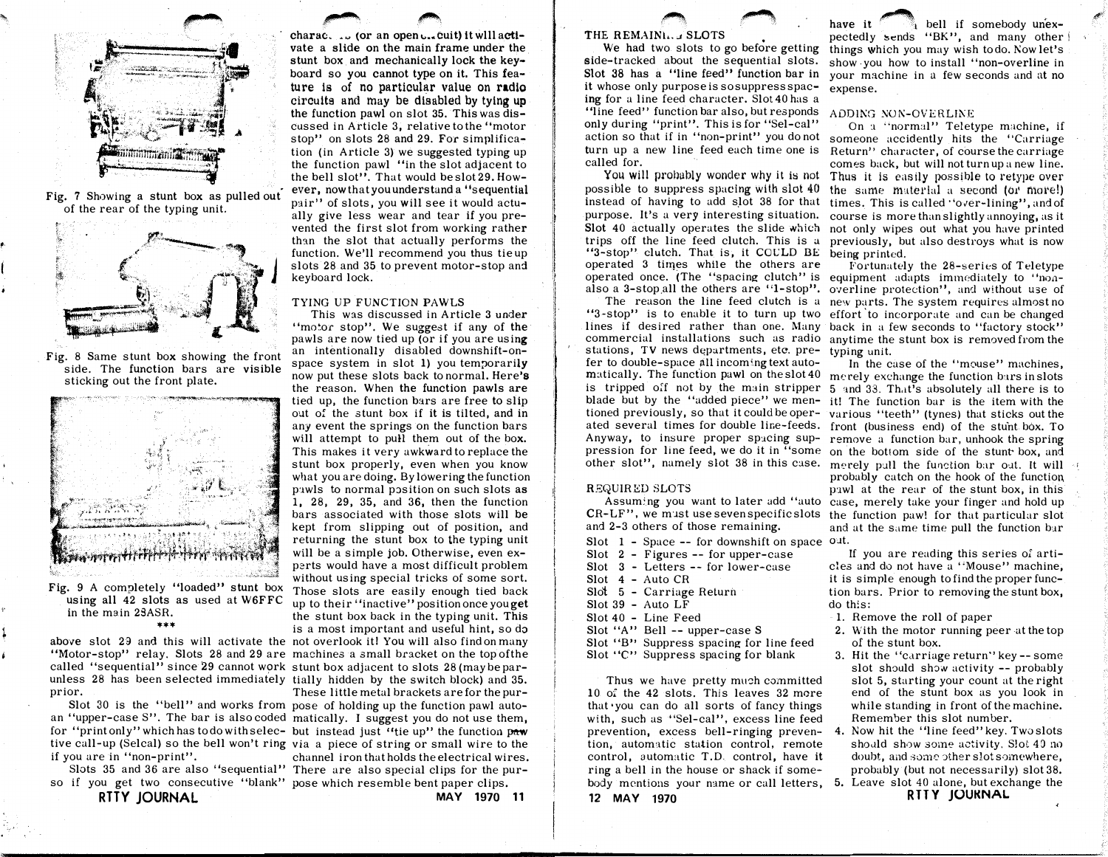

·�,

,

�

Fig. 7 Showing a stunt box as pulled out' of the rear of the typing unit.



Fig. 8 Same stunt box showing the front side. The function bars are visible sticking out the front plate.



Fig. 9 A completely "loaded" stunt box using all 42 slots as used at W6FFC in the main 2SASR. \*\*\*

above slot 23 and this will activate the not overlook it! You will also find on many "Motor-stop" relay. Slots 28 and 29 are machines a small bracket on the top ofthe called "sequential" since 29 cannot work stunt box adjacent to slots 28 (may be parunless 28 has been selected immediately tially hidden by the switch block) and 35. prior.

an "upper-case S". The bar is also coded matically. I suggest you do not use them, for "print only" which has todo with selec- but instead just "tie up" the function paw tive call-up (Selcal) so the bell won't ring via a piece of string or small wire to the if you are in "non-print".

so if you get two consecutive "blank" pose which resemble bent paper clips. RTTY JOURNAL

charac... (or an open  $\mathsf{c}$ ... cuit) it will activate a slide on the main frame under the stunt box and mechanically lock the keyboard so you cannot type on it. This feature is of no particular value on radio circuits and may be disabled by tying up the function pawl on slot 35. This was discussed in Article 3, relative to the "motor stop" on slots 28 and 29. For simplification (in Article 3) we suggested typing up the function pawl "in the slot adjacent to the bell slot". That would be slot 29. However, now that you understand a "sequential pair" of slots, you will see it would actually give less wear and tear if you prevented the first slot from working rather than the slot that actually performs the function. We'll recommend you thus tie up slots 28 and 35 to prevent motor-stop and keyboard lock.

� ,\_.,\_

### TYING UP FUNCTION PAWLS

This was discussed in Article 3 under "motor stop". We suggest if any of the pawls are now tied up (or if you are using an intentionally disabled downshift-onspace system in slot 1) you temporarily now put these slots back to normal. Here's the reason. When the function pawls are tied up, the function bars are free to slip out of the stunt box if it is tilted, and in any event the springs on the function bars will attempt to pull them out of the box. This makes it very awkward to replace the stunt box properly, even when you know what you are doing. By lowering the function pawls to normal position on such slots as 1, 28, 29, 35, and 36, then the function bars associated with those slots will be kept from slipping out of position, and returning the stunt box to the typing unit will be a simple job. Otherwise, even experts would have a most difficult problem without using special tricks of some sort. Those slots are easily enough tied back up to their "inactive" position once you get the stunt box back in the typing unit. This is a most important and useful hint, so do

Slot 30 is the "bell" and works from pose of holding up the function pawl auto-These little metal brackets are for the purchannel iron that holds the electrical wires.

Slots 35 and 36 are also "sequential" There are also special clips for the pur-

MAY 1970 11

# THE REMAIN ... , SLOTS

We had two slots to go before getting side-tracked about the sequential slots. Slot 38 has a "line feed" function bar in it whose only purpose is so suppress spacing for a line feed character. Slot 40 has a "line feed" function bar also, but responds" only during "print". This is for "Sel-cal" turn up a new line feed each time one is called for.

-� -�

possible to suppress spacing with slot 40 instead of having to add slot 38 for that purpose. It's a very interesting situation. Slot 40 actually operates the slide which trips off the line feed clutch. This is <sup>a</sup> "3-stop" clutch. That is, it COULD BE operated 3 times while the others are also a 3-stop.all the others are ''1-stop".

The reason the line feed clutch is a stations, TV news departments, etc. prefer to double-space all incoming text automatically. The function pawl on the slot 40 is tripped oif not by the main stripper tioned previously, so that it could be oper-Anyway, to insure proper spacing sup-

# REQUIRED SLOTS

Assum:ng you want to later add "auto CR-LF", we m·1st use seven specific slots and 2-3 others of those remaining.

- Slot  $1$  Space  $-$  for downshift on space out. Slot 2 - Figures -- for upper-case Slot 3 - Letters -- for lower-case Slot 4 - Auto CR Slo't 5 - Carriage Return Slot 39 - Auto LF Slot 40 - Line Feed Slot "A" Bell -- upper-case S
- Slot "B" Suppress spacing for line feed

Slot "C" Suppress spacing for blank

Thus we have pretty much committed 10 of the 42 slots. This leaves 32 more that  $\gamma$  you can do all sorts of fancy things with, such as "Sel-cal", excess line feed prevention, excess bell-ringing prevention, automatic station control, remote control, automatic T.D. control, have it ring a bell in the house or shack if somebody mentions your name or call letters, 5. Leave slot 40 alone, but exchange the 12 MAY 1970

have it  $\frac{1}{1}$  bell if somebody unexpectedly sends "BK", and many other i things which you may wish todo. Now let's show you how to install "non-overline in your machine in a few seconds and at no expense.

#'''

### ADDING NON-OVERLINE

action so that if in "non-print" you do not someone accidently hits the "Carriage You will probably wonder why it is not Thus it is easily possible to retype over On a "normal" Teletype machine, if Return" character, of course the carriage comes back, but will not turn up <sup>a</sup> new line. the same material a second (or more!) times. This is called "over-lining", and of course is more than slightly annoying, as it not only wipes out what you have printed previously, but also destroys what is now being printed.

operated once. (The "spacing clutch" is equipment adapts immediately to "non-"3 -stop" is to enable it to turn up two effort 'to incorporate and can be changed lines if desired rather than one. Many back in a few seconds to "factory stock" commercial installations such as radio anytime the stunt box is removed from the Fortunately the 28-series of Teletype overline protection", and without use of new parts. The system requires almost no typing unit.

blade but by the "added piece" we men-it! The function bar is the item with the ated several times for double line-feeds. front (business end) of the stunt box. To pression for line feed, we do it in "some on the bottom side of the stunt- box, and other slot", namely slot 38 in this case. merely pull the function bar out. It will In the case of the "mouse" machines, merely exchange the function bars in slots 5 and 33. That's absolutely all there is to various "teeth" (tynes) that sticks out the remove a function bar, unhook the spring probably catch on the hook of the function, pawl at the rear of the stunt box, in this case, merely take your finger and hold up the function pawl for that particular slot and at the same time pull the function bar

> If you are reading this series of articles and do not have a "Mouse" machine, it is simple enough to find the proper function bars. Prior to removing the stunt box, do this:

- 1. Remove the roll of paper
- 2. With the motor running peer at the top of the stunt box.
- 3. Hit the "carriage return" key -- some slot should show activity -- probably slot 5, starting your count at the right end of the stunt box as you look in while standing in front of the machine. Remember this slot number.
- 4. Now hit the "line feed" key. Twoslots should show some activity. Slot 40 no doubt, and some other slot somewhere, probably (but not necessarily) slot 38.

**RTTY JOUKNAL**